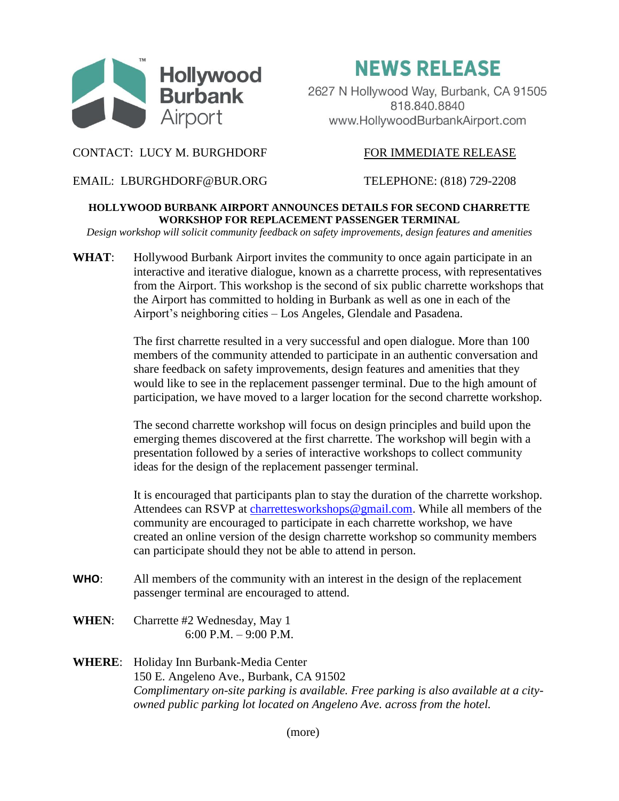

**NEWS RELEASE** 

2627 N Hollywood Way, Burbank, CA 91505 818.840.8840 www.HollywoodBurbankAirport.com

## CONTACT: LUCY M. BURGHDORF FOR IMMEDIATE RELEASE

EMAIL: LBURGHDORF@BUR.ORG TELEPHONE: (818) 729-2208

## **HOLLYWOOD BURBANK AIRPORT ANNOUNCES DETAILS FOR SECOND CHARRETTE WORKSHOP FOR REPLACEMENT PASSENGER TERMINAL**

*Design workshop will solicit community feedback on safety improvements, design features and amenities*

WHAT: Hollywood Burbank Airport invites the community to once again participate in an interactive and iterative dialogue, known as a charrette process, with representatives from the Airport. This workshop is the second of six public charrette workshops that the Airport has committed to holding in Burbank as well as one in each of the Airport's neighboring cities – Los Angeles, Glendale and Pasadena.

> The first charrette resulted in a very successful and open dialogue. More than 100 members of the community attended to participate in an authentic conversation and share feedback on safety improvements, design features and amenities that they would like to see in the replacement passenger terminal. Due to the high amount of participation, we have moved to a larger location for the second charrette workshop.

The second charrette workshop will focus on design principles and build upon the emerging themes discovered at the first charrette. The workshop will begin with a presentation followed by a series of interactive workshops to collect community ideas for the design of the replacement passenger terminal.

It is encouraged that participants plan to stay the duration of the charrette workshop. Attendees can RSVP at [charrettesworkshops@gmail.com.](mailto:charrettesworkshops@gmail.com) While all members of the community are encouraged to participate in each charrette workshop, we have created an online version of the design charrette workshop so community members can participate should they not be able to attend in person.

- **WHO**: All members of the community with an interest in the design of the replacement passenger terminal are encouraged to attend.
- **WHEN**: Charrette #2 Wednesday, May 1 6:00 P.M. – 9:00 P.M.
- **WHERE**: Holiday Inn Burbank-Media Center 150 E. Angeleno Ave., Burbank, CA 91502 *Complimentary on-site parking is available. Free parking is also available at a cityowned public parking lot located on Angeleno Ave. across from the hotel.*